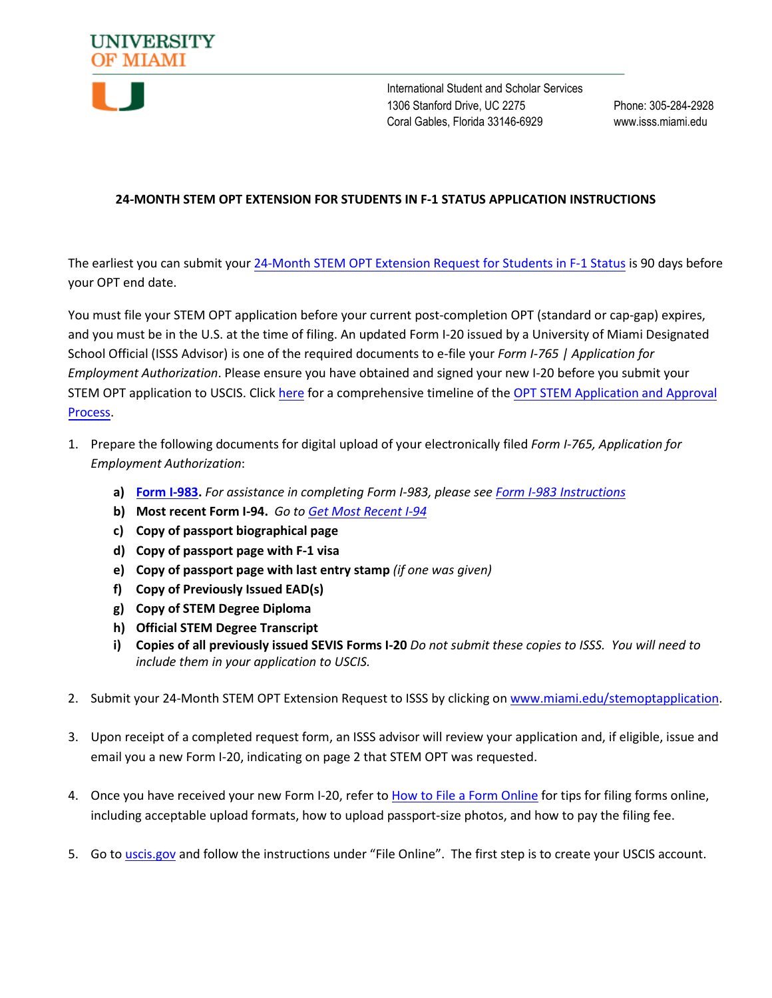

International Student and Scholar Services 1306 Stanford Drive, UC 2275 Phone: 305-284-2928 Coral Gables, Florida 33146-6929 www.isss.miami.edu

## **24-MONTH STEM OPT EXTENSION FOR STUDENTS IN F-1 STATUS APPLICATION INSTRUCTIONS**

The earliest you can submit your 24-Month STEM [OPT Extension Request for Students in F-1 Status](http://miami.edu/stemoptapplication) is 90 days before your OPT end date.

You must file your STEM OPT application before your current post-completion OPT (standard or cap-gap) expires, and you must be in the U.S. at the time of filing. An updated Form I-20 issued by a University of Miami Designated School Official (ISSS Advisor) is one of the required documents to e-file your *Form I-765 | Application for Employment Authorization*. Please ensure you have obtained and signed your new I-20 before you submit your STEM OPT application to USCIS. Click [here](https://isss.miami.edu/_assets/pdf/142Timeline-for-STEM-OPT.pdf) for a comprehensive timeline of the [OPT STEM Application](https://isss.miami.edu/_assets/pdf/142Timeline-for-STEM-OPT.pdf) and Approval [Process.](https://isss.miami.edu/_assets/pdf/142Timeline-for-STEM-OPT.pdf)

- 1. Prepare the following documents for digital upload of your electronically filed *Form I-765, Application for Employment Authorization*:
	- **a) [Form I-983.](https://studyinthestates.dhs.gov/students-and-the-form-i-983)** *For assistance in completing Form I-983, please see [Form I-983 Instructions](https://www.ice.gov/doclib/sevis/pdf/i983Instructions.pdf)*
	- **b) Most recent Form I-94.** *Go to [Get Most Recent I-94](https://i94.cbp.dhs.gov/I94/#/home)*
	- **c) Copy of passport biographical page**
	- **d) Copy of passport page with F-1 visa**
	- **e) Copy of passport page with last entry stamp** *(if one was given)*
	- **f) Copy of Previously Issued EAD(s)**
	- **g) Copy of STEM Degree Diploma**
	- **h) Official STEM Degree Transcript**
	- **i) Copies of all previously issued SEVIS Forms I-20** *Do not submit these copies to ISSS. You will need to include them in your application to USCIS.*
- 2. Submit your 24-Month STEM OPT Extension Request to ISSS by clicking on [www.miami.edu/stemoptapplication](http://www.miami.edu/stemoptapplication).
- 3. Upon receipt of a completed request form, an ISSS advisor will review your application and, if eligible, issue and email you a new Form I-20, indicating on page 2 that STEM OPT was requested.
- 4. Once you have received your new Form I-20, refer to [How to File a Form Online](https://www.uscis.gov/file-online/tips-for-filing-forms-online) for tips for filing forms online, including acceptable upload formats, how to upload passport-size photos, and how to pay the filing fee.
- 5. Go to [uscis.gov](https://www.uscis.gov) and follow the instructions under "File Online". The first step is to create your USCIS account.